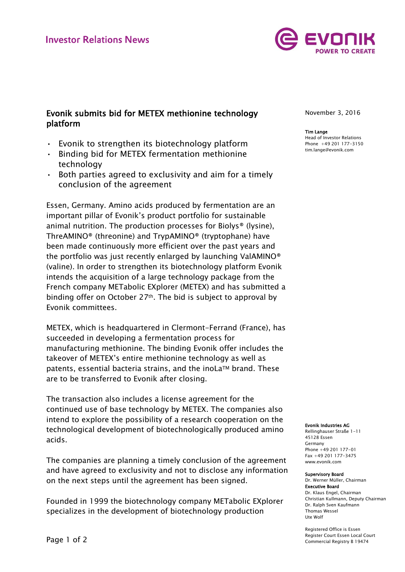

# Evonik submits bid for METEX methionine technology platform

- Evonik to strengthen its biotechnology platform
- Binding bid for METEX fermentation methionine technology
- Both parties agreed to exclusivity and aim for a timely conclusion of the agreement

Essen, Germany. Amino acids produced by fermentation are an important pillar of Evonik's product portfolio for sustainable animal nutrition. The production processes for Biolys® (lysine), ThreAMINO® (threonine) and TrypAMINO® (tryptophane) have been made continuously more efficient over the past years and the portfolio was just recently enlarged by launching ValAMINO® (valine). In order to strengthen its biotechnology platform Evonik intends the acquisition of a large technology package from the French company METabolic EXplorer (METEX) and has submitted a binding offer on October 27th. The bid is subject to approval by Evonik committees.

METEX, which is headquartered in Clermont-Ferrand (France), has succeeded in developing a fermentation process for manufacturing methionine. The binding Evonik offer includes the takeover of METEX's entire methionine technology as well as patents, essential bacteria strains, and the inoLa™ brand. These are to be transferred to Evonik after closing.

The transaction also includes a license agreement for the continued use of base technology by METEX. The companies also intend to explore the possibility of a research cooperation on the technological development of biotechnologically produced amino acids.

The companies are planning a timely conclusion of the agreement and have agreed to exclusivity and not to disclose any information on the next steps until the agreement has been signed.

Founded in 1999 the biotechnology company METabolic EXplorer specializes in the development of biotechnology production

November 3, 2016

#### Tim Lange Head of Investor Relations

Phone +49 201 177-3150 tim.lange@evonik.com

### Evonik Industries AG

Rellinghauser Straße 1-11 45128 Essen Germany Phone +49 201 177-01 Fax +49 201 177-3475 www.evonik.com

#### Supervisory Board

Dr. Werner Müller, Chairman Executive Board Dr. Klaus Engel, Chairman Christian Kullmann, Deputy Chairman Dr. Ralph Sven Kaufmann Thomas Wessel Ute Wolf

Registered Office is Essen Register Court Essen Local Court Commercial Registry B 19474